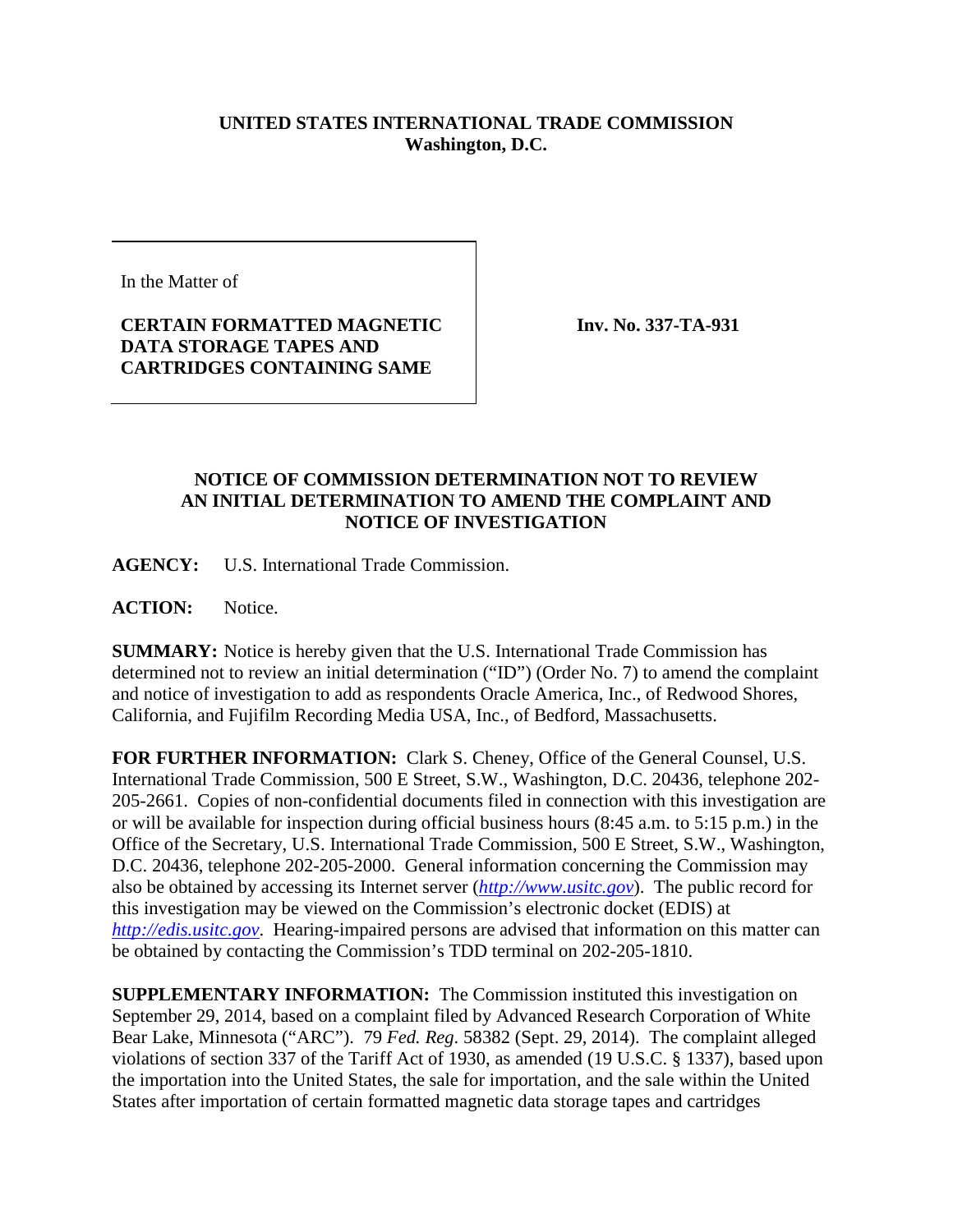## **UNITED STATES INTERNATIONAL TRADE COMMISSION Washington, D.C.**

In the Matter of

## **CERTAIN FORMATTED MAGNETIC DATA STORAGE TAPES AND CARTRIDGES CONTAINING SAME**

**Inv. No. 337-TA-931**

## **NOTICE OF COMMISSION DETERMINATION NOT TO REVIEW AN INITIAL DETERMINATION TO AMEND THE COMPLAINT AND NOTICE OF INVESTIGATION**

**AGENCY:** U.S. International Trade Commission.

**ACTION:** Notice.

**SUMMARY:** Notice is hereby given that the U.S. International Trade Commission has determined not to review an initial determination ("ID") (Order No. 7) to amend the complaint and notice of investigation to add as respondents Oracle America, Inc., of Redwood Shores, California, and Fujifilm Recording Media USA, Inc., of Bedford, Massachusetts.

**FOR FURTHER INFORMATION:** Clark S. Cheney, Office of the General Counsel, U.S. International Trade Commission, 500 E Street, S.W., Washington, D.C. 20436, telephone 202- 205-2661. Copies of non-confidential documents filed in connection with this investigation are or will be available for inspection during official business hours (8:45 a.m. to 5:15 p.m.) in the Office of the Secretary, U.S. International Trade Commission, 500 E Street, S.W., Washington, D.C. 20436, telephone 202-205-2000. General information concerning the Commission may also be obtained by accessing its Internet server (*[http://www.usitc.gov](http://www.usitc.gov/)*). The public record for this investigation may be viewed on the Commission's electronic docket (EDIS) at *[http://edis.usitc.gov](http://edis.usitc.gov/)*. Hearing-impaired persons are advised that information on this matter can be obtained by contacting the Commission's TDD terminal on 202-205-1810.

**SUPPLEMENTARY INFORMATION:** The Commission instituted this investigation on September 29, 2014, based on a complaint filed by Advanced Research Corporation of White Bear Lake, Minnesota ("ARC"). 79 *Fed. Reg*. 58382 (Sept. 29, 2014). The complaint alleged violations of section 337 of the Tariff Act of 1930, as amended (19 U.S.C. § 1337), based upon the importation into the United States, the sale for importation, and the sale within the United States after importation of certain formatted magnetic data storage tapes and cartridges